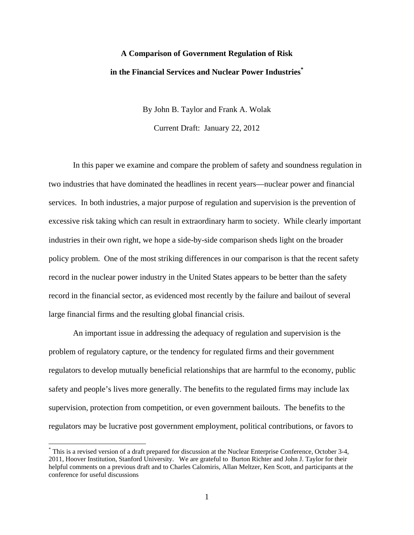# **A Comparison of Government Regulation of Risk in the Financial Services and Nuclear Power Industries\***

By John B. Taylor and Frank A. Wolak

Current Draft: January 22, 2012

In this paper we examine and compare the problem of safety and soundness regulation in two industries that have dominated the headlines in recent years—nuclear power and financial services. In both industries, a major purpose of regulation and supervision is the prevention of excessive risk taking which can result in extraordinary harm to society. While clearly important industries in their own right, we hope a side-by-side comparison sheds light on the broader policy problem. One of the most striking differences in our comparison is that the recent safety record in the nuclear power industry in the United States appears to be better than the safety record in the financial sector, as evidenced most recently by the failure and bailout of several large financial firms and the resulting global financial crisis.

An important issue in addressing the adequacy of regulation and supervision is the problem of regulatory capture, or the tendency for regulated firms and their government regulators to develop mutually beneficial relationships that are harmful to the economy, public safety and people's lives more generally. The benefits to the regulated firms may include lax supervision, protection from competition, or even government bailouts. The benefits to the regulators may be lucrative post government employment, political contributions, or favors to

<sup>\*</sup> This is a revised version of a draft prepared for discussion at the Nuclear Enterprise Conference, October 3-4, 2011, Hoover Institution, Stanford University. We are grateful to Burton Richter and John J. Taylor for their helpful comments on a previous draft and to Charles Calomiris, Allan Meltzer, Ken Scott, and participants at the conference for useful discussions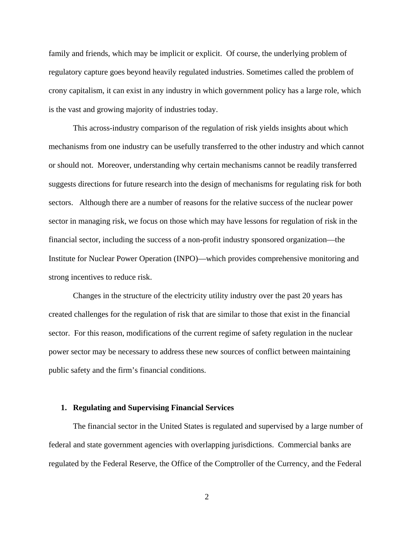family and friends, which may be implicit or explicit. Of course, the underlying problem of regulatory capture goes beyond heavily regulated industries. Sometimes called the problem of crony capitalism, it can exist in any industry in which government policy has a large role, which is the vast and growing majority of industries today.

This across-industry comparison of the regulation of risk yields insights about which mechanisms from one industry can be usefully transferred to the other industry and which cannot or should not. Moreover, understanding why certain mechanisms cannot be readily transferred suggests directions for future research into the design of mechanisms for regulating risk for both sectors. Although there are a number of reasons for the relative success of the nuclear power sector in managing risk, we focus on those which may have lessons for regulation of risk in the financial sector, including the success of a non-profit industry sponsored organization—the Institute for Nuclear Power Operation (INPO)—which provides comprehensive monitoring and strong incentives to reduce risk.

Changes in the structure of the electricity utility industry over the past 20 years has created challenges for the regulation of risk that are similar to those that exist in the financial sector. For this reason, modifications of the current regime of safety regulation in the nuclear power sector may be necessary to address these new sources of conflict between maintaining public safety and the firm's financial conditions.

#### **1. Regulating and Supervising Financial Services**

The financial sector in the United States is regulated and supervised by a large number of federal and state government agencies with overlapping jurisdictions. Commercial banks are regulated by the Federal Reserve, the Office of the Comptroller of the Currency, and the Federal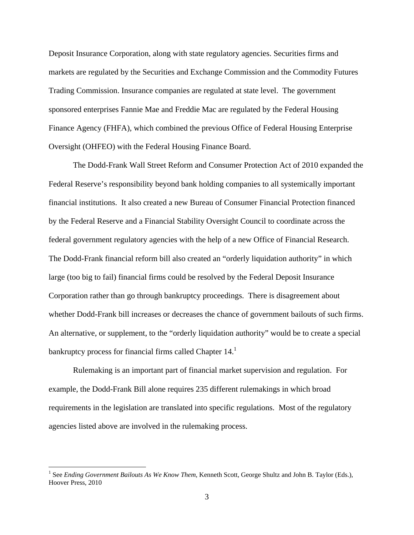Deposit Insurance Corporation, along with state regulatory agencies. Securities firms and markets are regulated by the Securities and Exchange Commission and the Commodity Futures Trading Commission. Insurance companies are regulated at state level. The government sponsored enterprises Fannie Mae and Freddie Mac are regulated by the Federal Housing Finance Agency (FHFA), which combined the previous Office of Federal Housing Enterprise Oversight (OHFEO) with the Federal Housing Finance Board.

The Dodd-Frank Wall Street Reform and Consumer Protection Act of 2010 expanded the Federal Reserve's responsibility beyond bank holding companies to all systemically important financial institutions. It also created a new Bureau of Consumer Financial Protection financed by the Federal Reserve and a Financial Stability Oversight Council to coordinate across the federal government regulatory agencies with the help of a new Office of Financial Research. The Dodd-Frank financial reform bill also created an "orderly liquidation authority" in which large (too big to fail) financial firms could be resolved by the Federal Deposit Insurance Corporation rather than go through bankruptcy proceedings. There is disagreement about whether Dodd-Frank bill increases or decreases the chance of government bailouts of such firms. An alternative, or supplement, to the "orderly liquidation authority" would be to create a special bankruptcy process for financial firms called Chapter  $14<sup>1</sup>$ 

Rulemaking is an important part of financial market supervision and regulation. For example, the Dodd-Frank Bill alone requires 235 different rulemakings in which broad requirements in the legislation are translated into specific regulations. Most of the regulatory agencies listed above are involved in the rulemaking process.

<sup>&</sup>lt;sup>1</sup> See *Ending Government Bailouts As We Know Them*, Kenneth Scott, George Shultz and John B. Taylor (Eds.), Hoover Press, 2010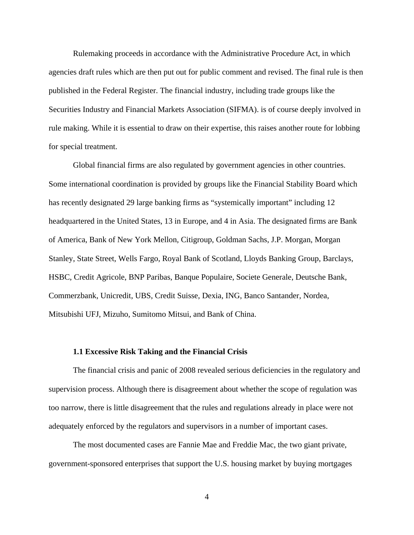Rulemaking proceeds in accordance with the Administrative Procedure Act, in which agencies draft rules which are then put out for public comment and revised. The final rule is then published in the Federal Register. The financial industry, including trade groups like the Securities Industry and Financial Markets Association (SIFMA). is of course deeply involved in rule making. While it is essential to draw on their expertise, this raises another route for lobbing for special treatment.

Global financial firms are also regulated by government agencies in other countries. Some international coordination is provided by groups like the Financial Stability Board which has recently designated 29 large banking firms as "systemically important" including 12 headquartered in the United States, 13 in Europe, and 4 in Asia. The designated firms are Bank of America, Bank of New York Mellon, Citigroup, Goldman Sachs, J.P. Morgan, Morgan Stanley, State Street, Wells Fargo, Royal Bank of Scotland, Lloyds Banking Group, Barclays, HSBC, Credit Agricole, BNP Paribas, Banque Populaire, Societe Generale, Deutsche Bank, Commerzbank, Unicredit, UBS, Credit Suisse, Dexia, ING, Banco Santander, Nordea, Mitsubishi UFJ, Mizuho, Sumitomo Mitsui, and Bank of China.

#### **1.1 Excessive Risk Taking and the Financial Crisis**

The financial crisis and panic of 2008 revealed serious deficiencies in the regulatory and supervision process. Although there is disagreement about whether the scope of regulation was too narrow, there is little disagreement that the rules and regulations already in place were not adequately enforced by the regulators and supervisors in a number of important cases.

The most documented cases are Fannie Mae and Freddie Mac, the two giant private, government-sponsored enterprises that support the U.S. housing market by buying mortgages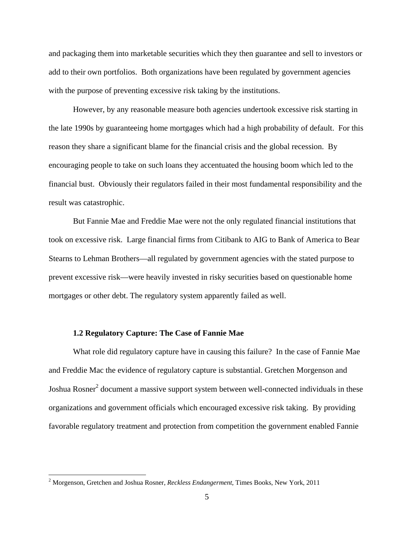and packaging them into marketable securities which they then guarantee and sell to investors or add to their own portfolios. Both organizations have been regulated by government agencies with the purpose of preventing excessive risk taking by the institutions.

However, by any reasonable measure both agencies undertook excessive risk starting in the late 1990s by guaranteeing home mortgages which had a high probability of default. For this reason they share a significant blame for the financial crisis and the global recession. By encouraging people to take on such loans they accentuated the housing boom which led to the financial bust. Obviously their regulators failed in their most fundamental responsibility and the result was catastrophic.

But Fannie Mae and Freddie Mae were not the only regulated financial institutions that took on excessive risk. Large financial firms from Citibank to AIG to Bank of America to Bear Stearns to Lehman Brothers—all regulated by government agencies with the stated purpose to prevent excessive risk—were heavily invested in risky securities based on questionable home mortgages or other debt. The regulatory system apparently failed as well.

# **1.2 Regulatory Capture: The Case of Fannie Mae**

What role did regulatory capture have in causing this failure? In the case of Fannie Mae and Freddie Mac the evidence of regulatory capture is substantial. Gretchen Morgenson and Joshua Rosner<sup>2</sup> document a massive support system between well-connected individuals in these organizations and government officials which encouraged excessive risk taking. By providing favorable regulatory treatment and protection from competition the government enabled Fannie

<sup>2</sup> Morgenson, Gretchen and Joshua Rosner, *Reckless Endangerment*, Times Books, New York, 2011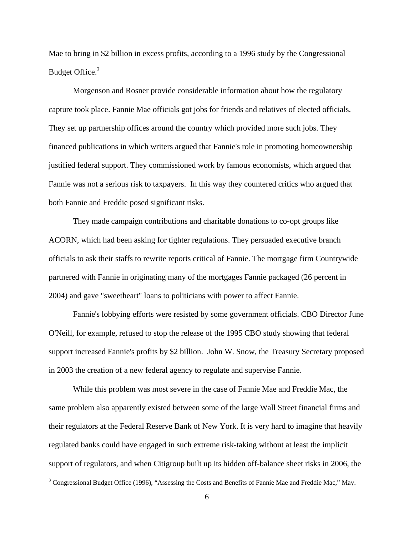Mae to bring in \$2 billion in excess profits, according to a 1996 study by the Congressional Budget Office.<sup>3</sup>

Morgenson and Rosner provide considerable information about how the regulatory capture took place. Fannie Mae officials got jobs for friends and relatives of elected officials. They set up partnership offices around the country which provided more such jobs. They financed publications in which writers argued that Fannie's role in promoting homeownership justified federal support. They commissioned work by famous economists, which argued that Fannie was not a serious risk to taxpayers. In this way they countered critics who argued that both Fannie and Freddie posed significant risks.

They made campaign contributions and charitable donations to co-opt groups like ACORN, which had been asking for tighter regulations. They persuaded executive branch officials to ask their staffs to rewrite reports critical of Fannie. The mortgage firm Countrywide partnered with Fannie in originating many of the mortgages Fannie packaged (26 percent in 2004) and gave "sweetheart" loans to politicians with power to affect Fannie.

Fannie's lobbying efforts were resisted by some government officials. CBO Director June O'Neill, for example, refused to stop the release of the 1995 CBO study showing that federal support increased Fannie's profits by \$2 billion. John W. Snow, the Treasury Secretary proposed in 2003 the creation of a new federal agency to regulate and supervise Fannie.

While this problem was most severe in the case of Fannie Mae and Freddie Mac, the same problem also apparently existed between some of the large Wall Street financial firms and their regulators at the Federal Reserve Bank of New York. It is very hard to imagine that heavily regulated banks could have engaged in such extreme risk-taking without at least the implicit support of regulators, and when Citigroup built up its hidden off-balance sheet risks in 2006, the

<u>.</u>

<sup>&</sup>lt;sup>3</sup> Congressional Budget Office (1996), "Assessing the Costs and Benefits of Fannie Mae and Freddie Mac," May.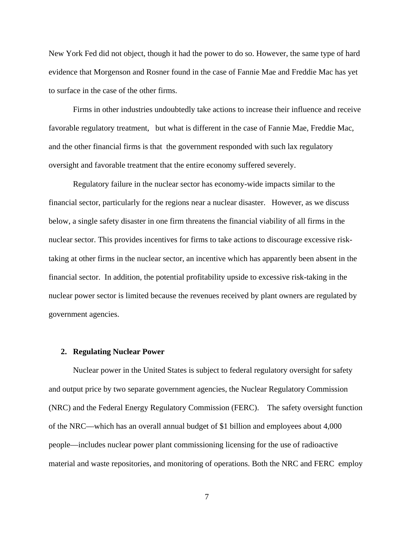New York Fed did not object, though it had the power to do so. However, the same type of hard evidence that Morgenson and Rosner found in the case of Fannie Mae and Freddie Mac has yet to surface in the case of the other firms.

Firms in other industries undoubtedly take actions to increase their influence and receive favorable regulatory treatment, but what is different in the case of Fannie Mae, Freddie Mac, and the other financial firms is that the government responded with such lax regulatory oversight and favorable treatment that the entire economy suffered severely.

Regulatory failure in the nuclear sector has economy-wide impacts similar to the financial sector, particularly for the regions near a nuclear disaster. However, as we discuss below, a single safety disaster in one firm threatens the financial viability of all firms in the nuclear sector. This provides incentives for firms to take actions to discourage excessive risktaking at other firms in the nuclear sector, an incentive which has apparently been absent in the financial sector. In addition, the potential profitability upside to excessive risk-taking in the nuclear power sector is limited because the revenues received by plant owners are regulated by government agencies.

# **2. Regulating Nuclear Power**

Nuclear power in the United States is subject to federal regulatory oversight for safety and output price by two separate government agencies, the Nuclear Regulatory Commission (NRC) and the Federal Energy Regulatory Commission (FERC). The safety oversight function of the NRC—which has an overall annual budget of \$1 billion and employees about 4,000 people—includes nuclear power plant commissioning licensing for the use of radioactive material and waste repositories, and monitoring of operations. Both the NRC and FERC employ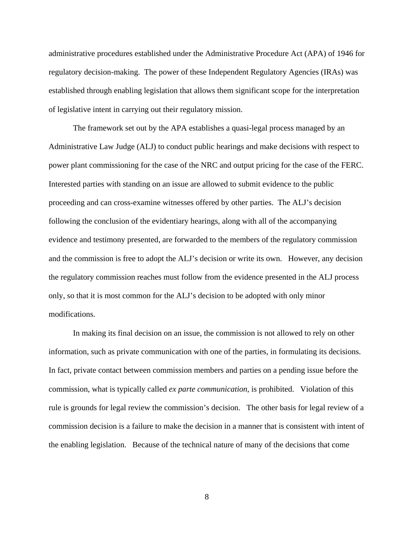administrative procedures established under the Administrative Procedure Act (APA) of 1946 for regulatory decision-making. The power of these Independent Regulatory Agencies (IRAs) was established through enabling legislation that allows them significant scope for the interpretation of legislative intent in carrying out their regulatory mission.

The framework set out by the APA establishes a quasi-legal process managed by an Administrative Law Judge (ALJ) to conduct public hearings and make decisions with respect to power plant commissioning for the case of the NRC and output pricing for the case of the FERC. Interested parties with standing on an issue are allowed to submit evidence to the public proceeding and can cross-examine witnesses offered by other parties. The ALJ's decision following the conclusion of the evidentiary hearings, along with all of the accompanying evidence and testimony presented, are forwarded to the members of the regulatory commission and the commission is free to adopt the ALJ's decision or write its own. However, any decision the regulatory commission reaches must follow from the evidence presented in the ALJ process only, so that it is most common for the ALJ's decision to be adopted with only minor modifications.

In making its final decision on an issue, the commission is not allowed to rely on other information, such as private communication with one of the parties, in formulating its decisions. In fact, private contact between commission members and parties on a pending issue before the commission, what is typically called *ex parte communication*, is prohibited. Violation of this rule is grounds for legal review the commission's decision. The other basis for legal review of a commission decision is a failure to make the decision in a manner that is consistent with intent of the enabling legislation. Because of the technical nature of many of the decisions that come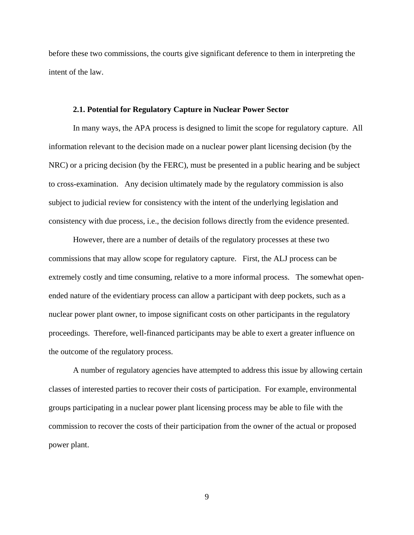before these two commissions, the courts give significant deference to them in interpreting the intent of the law.

## **2.1. Potential for Regulatory Capture in Nuclear Power Sector**

In many ways, the APA process is designed to limit the scope for regulatory capture. All information relevant to the decision made on a nuclear power plant licensing decision (by the NRC) or a pricing decision (by the FERC), must be presented in a public hearing and be subject to cross-examination. Any decision ultimately made by the regulatory commission is also subject to judicial review for consistency with the intent of the underlying legislation and consistency with due process, i.e., the decision follows directly from the evidence presented.

However, there are a number of details of the regulatory processes at these two commissions that may allow scope for regulatory capture. First, the ALJ process can be extremely costly and time consuming, relative to a more informal process. The somewhat openended nature of the evidentiary process can allow a participant with deep pockets, such as a nuclear power plant owner, to impose significant costs on other participants in the regulatory proceedings. Therefore, well-financed participants may be able to exert a greater influence on the outcome of the regulatory process.

A number of regulatory agencies have attempted to address this issue by allowing certain classes of interested parties to recover their costs of participation. For example, environmental groups participating in a nuclear power plant licensing process may be able to file with the commission to recover the costs of their participation from the owner of the actual or proposed power plant.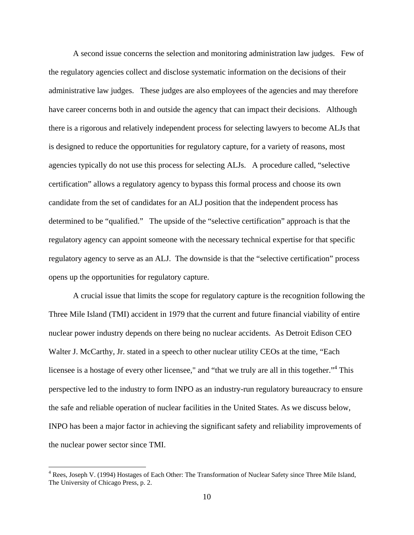A second issue concerns the selection and monitoring administration law judges. Few of the regulatory agencies collect and disclose systematic information on the decisions of their administrative law judges. These judges are also employees of the agencies and may therefore have career concerns both in and outside the agency that can impact their decisions. Although there is a rigorous and relatively independent process for selecting lawyers to become ALJs that is designed to reduce the opportunities for regulatory capture, for a variety of reasons, most agencies typically do not use this process for selecting ALJs. A procedure called, "selective certification" allows a regulatory agency to bypass this formal process and choose its own candidate from the set of candidates for an ALJ position that the independent process has determined to be "qualified." The upside of the "selective certification" approach is that the regulatory agency can appoint someone with the necessary technical expertise for that specific regulatory agency to serve as an ALJ. The downside is that the "selective certification" process opens up the opportunities for regulatory capture.

A crucial issue that limits the scope for regulatory capture is the recognition following the Three Mile Island (TMI) accident in 1979 that the current and future financial viability of entire nuclear power industry depends on there being no nuclear accidents. As Detroit Edison CEO Walter J. McCarthy, Jr. stated in a speech to other nuclear utility CEOs at the time, "Each licensee is a hostage of every other licensee," and "that we truly are all in this together."<sup>4</sup> This perspective led to the industry to form INPO as an industry-run regulatory bureaucracy to ensure the safe and reliable operation of nuclear facilities in the United States. As we discuss below, INPO has been a major factor in achieving the significant safety and reliability improvements of the nuclear power sector since TMI.

<sup>&</sup>lt;sup>4</sup> Rees, Joseph V. (1994) Hostages of Each Other: The Transformation of Nuclear Safety since Three Mile Island, The University of Chicago Press, p. 2.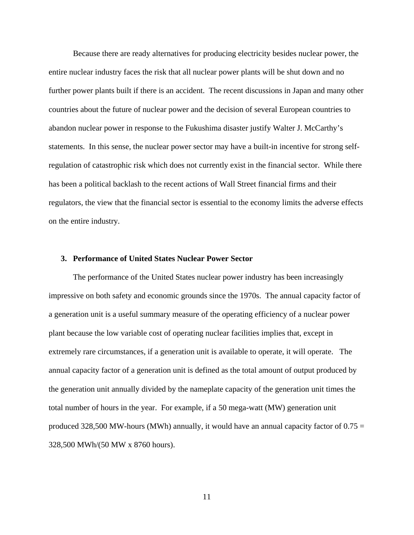Because there are ready alternatives for producing electricity besides nuclear power, the entire nuclear industry faces the risk that all nuclear power plants will be shut down and no further power plants built if there is an accident. The recent discussions in Japan and many other countries about the future of nuclear power and the decision of several European countries to abandon nuclear power in response to the Fukushima disaster justify Walter J. McCarthy's statements. In this sense, the nuclear power sector may have a built-in incentive for strong selfregulation of catastrophic risk which does not currently exist in the financial sector. While there has been a political backlash to the recent actions of Wall Street financial firms and their regulators, the view that the financial sector is essential to the economy limits the adverse effects on the entire industry.

#### **3. Performance of United States Nuclear Power Sector**

The performance of the United States nuclear power industry has been increasingly impressive on both safety and economic grounds since the 1970s. The annual capacity factor of a generation unit is a useful summary measure of the operating efficiency of a nuclear power plant because the low variable cost of operating nuclear facilities implies that, except in extremely rare circumstances, if a generation unit is available to operate, it will operate. The annual capacity factor of a generation unit is defined as the total amount of output produced by the generation unit annually divided by the nameplate capacity of the generation unit times the total number of hours in the year. For example, if a 50 mega-watt (MW) generation unit produced 328,500 MW-hours (MWh) annually, it would have an annual capacity factor of  $0.75 =$ 328,500 MWh/(50 MW x 8760 hours).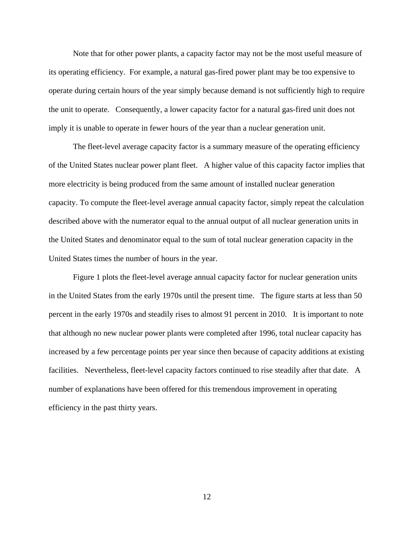Note that for other power plants, a capacity factor may not be the most useful measure of its operating efficiency. For example, a natural gas-fired power plant may be too expensive to operate during certain hours of the year simply because demand is not sufficiently high to require the unit to operate. Consequently, a lower capacity factor for a natural gas-fired unit does not imply it is unable to operate in fewer hours of the year than a nuclear generation unit.

The fleet-level average capacity factor is a summary measure of the operating efficiency of the United States nuclear power plant fleet. A higher value of this capacity factor implies that more electricity is being produced from the same amount of installed nuclear generation capacity. To compute the fleet-level average annual capacity factor, simply repeat the calculation described above with the numerator equal to the annual output of all nuclear generation units in the United States and denominator equal to the sum of total nuclear generation capacity in the United States times the number of hours in the year.

Figure 1 plots the fleet-level average annual capacity factor for nuclear generation units in the United States from the early 1970s until the present time. The figure starts at less than 50 percent in the early 1970s and steadily rises to almost 91 percent in 2010. It is important to note that although no new nuclear power plants were completed after 1996, total nuclear capacity has increased by a few percentage points per year since then because of capacity additions at existing facilities. Nevertheless, fleet-level capacity factors continued to rise steadily after that date. A number of explanations have been offered for this tremendous improvement in operating efficiency in the past thirty years.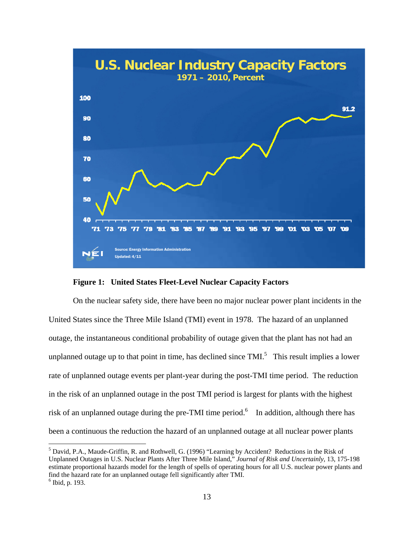



On the nuclear safety side, there have been no major nuclear power plant incidents in the United States since the Three Mile Island (TMI) event in 1978. The hazard of an unplanned outage, the instantaneous conditional probability of outage given that the plant has not had an unplanned outage up to that point in time, has declined since  $TML<sup>5</sup>$  This result implies a lower rate of unplanned outage events per plant-year during the post-TMI time period. The reduction in the risk of an unplanned outage in the post TMI period is largest for plants with the highest risk of an unplanned outage during the pre-TMI time period.<sup>6</sup> In addition, although there has been a continuous the reduction the hazard of an unplanned outage at all nuclear power plants

<sup>&</sup>lt;sup>5</sup> David, P.A., Maude-Griffin, R. and Rothwell, G. (1996) "Learning by Accident? Reductions in the Risk of Unplanned Outages in U.S. Nuclear Plants After Three Mile Island," *Journal of Risk and Uncertainly,* 13, 175-198 estimate proportional hazards model for the length of spells of operating hours for all U.S. nuclear power plants and find the hazard rate for an unplanned outage fell significantly after TMI.  $<sup>6</sup>$  Ibid, p. 193.</sup>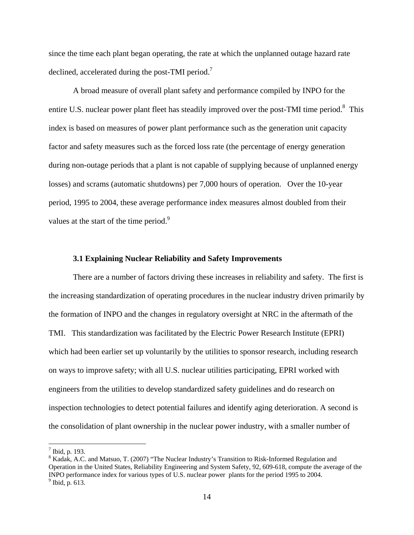since the time each plant began operating, the rate at which the unplanned outage hazard rate declined, accelerated during the post-TMI period.<sup>7</sup>

A broad measure of overall plant safety and performance compiled by INPO for the entire U.S. nuclear power plant fleet has steadily improved over the post-TMI time period.<sup>8</sup> This index is based on measures of power plant performance such as the generation unit capacity factor and safety measures such as the forced loss rate (the percentage of energy generation during non-outage periods that a plant is not capable of supplying because of unplanned energy losses) and scrams (automatic shutdowns) per 7,000 hours of operation. Over the 10-year period, 1995 to 2004, these average performance index measures almost doubled from their values at the start of the time period.<sup>9</sup>

#### **3.1 Explaining Nuclear Reliability and Safety Improvements**

There are a number of factors driving these increases in reliability and safety. The first is the increasing standardization of operating procedures in the nuclear industry driven primarily by the formation of INPO and the changes in regulatory oversight at NRC in the aftermath of the TMI. This standardization was facilitated by the Electric Power Research Institute (EPRI) which had been earlier set up voluntarily by the utilities to sponsor research, including research on ways to improve safety; with all U.S. nuclear utilities participating, EPRI worked with engineers from the utilities to develop standardized safety guidelines and do research on inspection technologies to detect potential failures and identify aging deterioration. A second is the consolidation of plant ownership in the nuclear power industry, with a smaller number of

 $<sup>7</sup>$  Ibid, p. 193.</sup>

<sup>&</sup>lt;sup>8</sup> Kadak, A.C. and Matsuo, T. (2007) "The Nuclear Industry's Transition to Risk-Informed Regulation and Operation in the United States, Reliability Engineering and System Safety, 92, 609-618, compute the average of the INPO performance index for various types of U.S. nuclear power plants for the period 1995 to 2004.  $<sup>9</sup>$  Ibid, p. 613.</sup>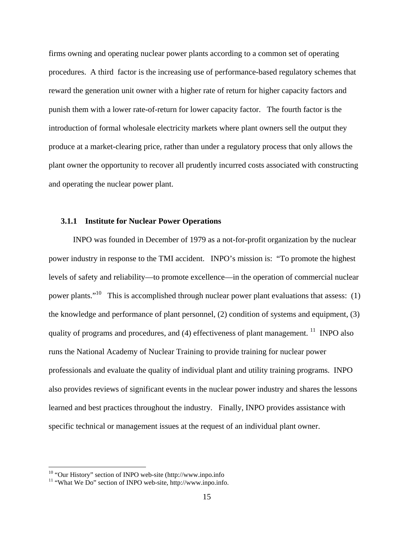firms owning and operating nuclear power plants according to a common set of operating procedures. A third factor is the increasing use of performance-based regulatory schemes that reward the generation unit owner with a higher rate of return for higher capacity factors and punish them with a lower rate-of-return for lower capacity factor. The fourth factor is the introduction of formal wholesale electricity markets where plant owners sell the output they produce at a market-clearing price, rather than under a regulatory process that only allows the plant owner the opportunity to recover all prudently incurred costs associated with constructing and operating the nuclear power plant.

# **3.1.1 Institute for Nuclear Power Operations**

INPO was founded in December of 1979 as a not-for-profit organization by the nuclear power industry in response to the TMI accident. INPO's mission is: "To promote the highest levels of safety and reliability—to promote excellence—in the operation of commercial nuclear power plants."<sup>10</sup> This is accomplished through nuclear power plant evaluations that assess: (1) the knowledge and performance of plant personnel, (2) condition of systems and equipment, (3) quality of programs and procedures, and  $(4)$  effectiveness of plant management. <sup>11</sup> INPO also runs the National Academy of Nuclear Training to provide training for nuclear power professionals and evaluate the quality of individual plant and utility training programs. INPO also provides reviews of significant events in the nuclear power industry and shares the lessons learned and best practices throughout the industry. Finally, INPO provides assistance with specific technical or management issues at the request of an individual plant owner.

<sup>&</sup>lt;sup>10</sup> "Our History" section of INPO web-site (http://www.inpo.info

 $11$  "What We Do" section of INPO web-site, http://www.inpo.info.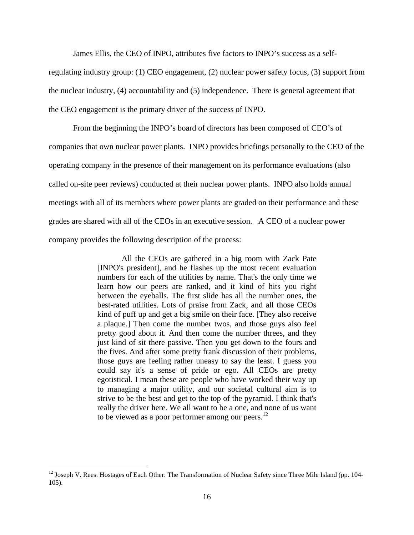James Ellis, the CEO of INPO, attributes five factors to INPO's success as a self-

regulating industry group: (1) CEO engagement, (2) nuclear power safety focus, (3) support from the nuclear industry, (4) accountability and (5) independence. There is general agreement that the CEO engagement is the primary driver of the success of INPO.

From the beginning the INPO's board of directors has been composed of CEO's of companies that own nuclear power plants. INPO provides briefings personally to the CEO of the operating company in the presence of their management on its performance evaluations (also called on-site peer reviews) conducted at their nuclear power plants. INPO also holds annual meetings with all of its members where power plants are graded on their performance and these grades are shared with all of the CEOs in an executive session. A CEO of a nuclear power company provides the following description of the process:

> All the CEOs are gathered in a big room with Zack Pate [INPO's president], and he flashes up the most recent evaluation numbers for each of the utilities by name. That's the only time we learn how our peers are ranked, and it kind of hits you right between the eyeballs. The first slide has all the number ones, the best-rated utilities. Lots of praise from Zack, and all those CEOs kind of puff up and get a big smile on their face. [They also receive a plaque.] Then come the number twos, and those guys also feel pretty good about it. And then come the number threes, and they just kind of sit there passive. Then you get down to the fours and the fives. And after some pretty frank discussion of their problems, those guys are feeling rather uneasy to say the least. I guess you could say it's a sense of pride or ego. All CEOs are pretty egotistical. I mean these are people who have worked their way up to managing a major utility, and our societal cultural aim is to strive to be the best and get to the top of the pyramid. I think that's really the driver here. We all want to be a one, and none of us want to be viewed as a poor performer among our peers. $^{12}$

<sup>&</sup>lt;sup>12</sup> Joseph V. Rees. Hostages of Each Other: The Transformation of Nuclear Safety since Three Mile Island (pp. 104-105).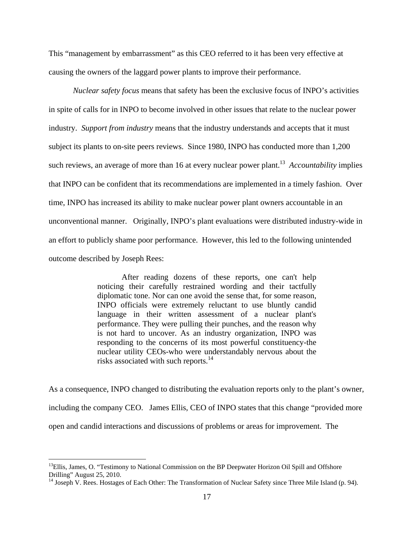This "management by embarrassment" as this CEO referred to it has been very effective at causing the owners of the laggard power plants to improve their performance.

*Nuclear safety focus* means that safety has been the exclusive focus of INPO's activities in spite of calls for in INPO to become involved in other issues that relate to the nuclear power industry. *Support from industry* means that the industry understands and accepts that it must subject its plants to on-site peers reviews. Since 1980, INPO has conducted more than 1,200 such reviews, an average of more than 16 at every nuclear power plant.<sup>13</sup> *Accountability* implies that INPO can be confident that its recommendations are implemented in a timely fashion. Over time, INPO has increased its ability to make nuclear power plant owners accountable in an unconventional manner. Originally, INPO's plant evaluations were distributed industry-wide in an effort to publicly shame poor performance. However, this led to the following unintended outcome described by Joseph Rees:

> After reading dozens of these reports, one can't help noticing their carefully restrained wording and their tactfully diplomatic tone. Nor can one avoid the sense that, for some reason, INPO officials were extremely reluctant to use bluntly candid language in their written assessment of a nuclear plant's performance. They were pulling their punches, and the reason why is not hard to uncover. As an industry organization, INPO was responding to the concerns of its most powerful constituency-the nuclear utility CEOs-who were understandably nervous about the risks associated with such reports. $14$

As a consequence, INPO changed to distributing the evaluation reports only to the plant's owner, including the company CEO. James Ellis, CEO of INPO states that this change "provided more open and candid interactions and discussions of problems or areas for improvement. The

<sup>&</sup>lt;sup>13</sup>Ellis, James, O. "Testimony to National Commission on the BP Deepwater Horizon Oil Spill and Offshore Drilling" August 25, 2010.

<sup>&</sup>lt;sup>14</sup> Joseph V. Rees. Hostages of Each Other: The Transformation of Nuclear Safety since Three Mile Island (p. 94).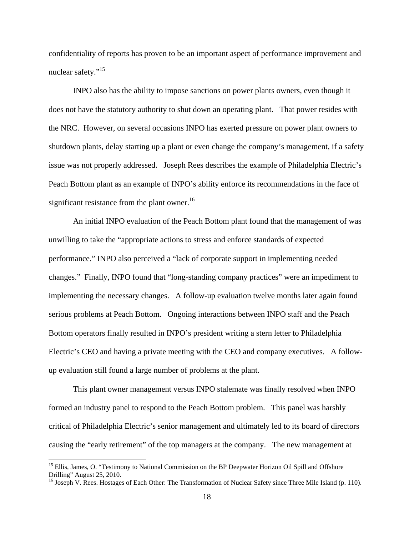confidentiality of reports has proven to be an important aspect of performance improvement and nuclear safety."<sup>15</sup>

INPO also has the ability to impose sanctions on power plants owners, even though it does not have the statutory authority to shut down an operating plant. That power resides with the NRC. However, on several occasions INPO has exerted pressure on power plant owners to shutdown plants, delay starting up a plant or even change the company's management, if a safety issue was not properly addressed. Joseph Rees describes the example of Philadelphia Electric's Peach Bottom plant as an example of INPO's ability enforce its recommendations in the face of significant resistance from the plant owner.<sup>16</sup>

An initial INPO evaluation of the Peach Bottom plant found that the management of was unwilling to take the "appropriate actions to stress and enforce standards of expected performance." INPO also perceived a "lack of corporate support in implementing needed changes." Finally, INPO found that "long-standing company practices" were an impediment to implementing the necessary changes. A follow-up evaluation twelve months later again found serious problems at Peach Bottom. Ongoing interactions between INPO staff and the Peach Bottom operators finally resulted in INPO's president writing a stern letter to Philadelphia Electric's CEO and having a private meeting with the CEO and company executives. A followup evaluation still found a large number of problems at the plant.

This plant owner management versus INPO stalemate was finally resolved when INPO formed an industry panel to respond to the Peach Bottom problem. This panel was harshly critical of Philadelphia Electric's senior management and ultimately led to its board of directors causing the "early retirement" of the top managers at the company. The new management at

<sup>&</sup>lt;sup>15</sup> Ellis, James, O. "Testimony to National Commission on the BP Deepwater Horizon Oil Spill and Offshore Drilling" August 25, 2010.

 $16$  Joseph V. Rees. Hostages of Each Other: The Transformation of Nuclear Safety since Three Mile Island (p. 110).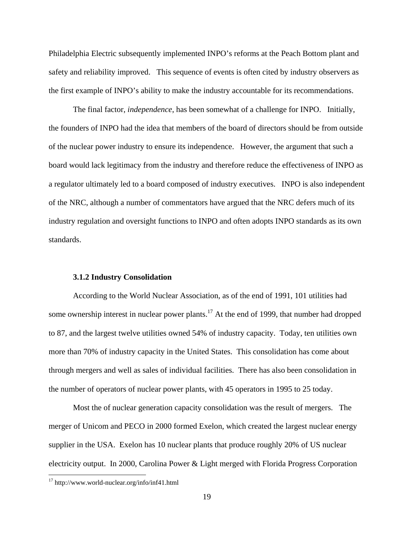Philadelphia Electric subsequently implemented INPO's reforms at the Peach Bottom plant and safety and reliability improved. This sequence of events is often cited by industry observers as the first example of INPO's ability to make the industry accountable for its recommendations.

The final factor, *independence*, has been somewhat of a challenge for INPO. Initially, the founders of INPO had the idea that members of the board of directors should be from outside of the nuclear power industry to ensure its independence. However, the argument that such a board would lack legitimacy from the industry and therefore reduce the effectiveness of INPO as a regulator ultimately led to a board composed of industry executives. INPO is also independent of the NRC, although a number of commentators have argued that the NRC defers much of its industry regulation and oversight functions to INPO and often adopts INPO standards as its own standards.

# **3.1.2 Industry Consolidation**

 According to the World Nuclear Association, as of the end of 1991, 101 utilities had some ownership interest in nuclear power plants.<sup>17</sup> At the end of 1999, that number had dropped to 87, and the largest twelve utilities owned 54% of industry capacity. Today, ten utilities own more than 70% of industry capacity in the United States. This consolidation has come about through mergers and well as sales of individual facilities. There has also been consolidation in the number of operators of nuclear power plants, with 45 operators in 1995 to 25 today.

Most the of nuclear generation capacity consolidation was the result of mergers. The merger of Unicom and PECO in 2000 formed Exelon, which created the largest nuclear energy supplier in the USA. Exelon has 10 nuclear plants that produce roughly 20% of US nuclear electricity output. In 2000, Carolina Power & Light merged with Florida Progress Corporation

<sup>17</sup> http://www.world-nuclear.org/info/inf41.html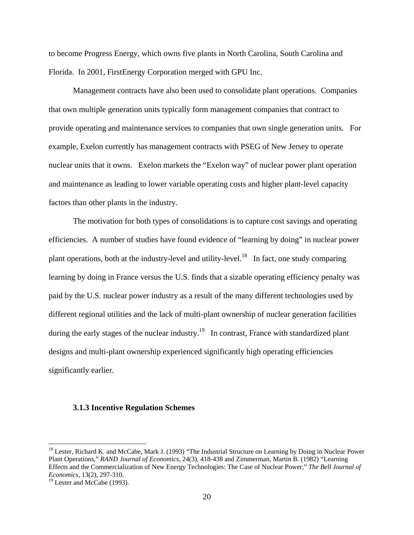to become Progress Energy, which owns five plants in North Carolina, South Carolina and Florida. In 2001, FirstEnergy Corporation merged with GPU Inc.

Management contracts have also been used to consolidate plant operations. Companies that own multiple generation units typically form management companies that contract to provide operating and maintenance services to companies that own single generation units. For example, Exelon currently has management contracts with PSEG of New Jersey to operate nuclear units that it owns. Exelon markets the "Exelon way" of nuclear power plant operation and maintenance as leading to lower variable operating costs and higher plant-level capacity factors than other plants in the industry.

The motivation for both types of consolidations is to capture cost savings and operating efficiencies. A number of studies have found evidence of "learning by doing" in nuclear power plant operations, both at the industry-level and utility-level.<sup>18</sup> In fact, one study comparing learning by doing in France versus the U.S. finds that a sizable operating efficiency penalty was paid by the U.S. nuclear power industry as a result of the many different technologies used by different regional utilities and the lack of multi-plant ownership of nuclear generation facilities during the early stages of the nuclear industry.<sup>19</sup> In contrast, France with standardized plant designs and multi-plant ownership experienced significantly high operating efficiencies significantly earlier.

## **3.1.3 Incentive Regulation Schemes**

<sup>&</sup>lt;sup>18</sup> Lester, Richard K. and McCabe, Mark J. (1993) "The Industrial Structure on Learning by Doing in Nuclear Power Plant Operations," *RAND Journal of Economics,* 24(3), 418-438 and Zimmerman, Martin B. (1982) "Learning Effects and the Commercialization of New Energy Technologies: The Case of Nuclear Power," *The Bell Journal of Economics*, 13(2), 297-310.

<sup>&</sup>lt;sup>19</sup> Lester and McCabe (1993).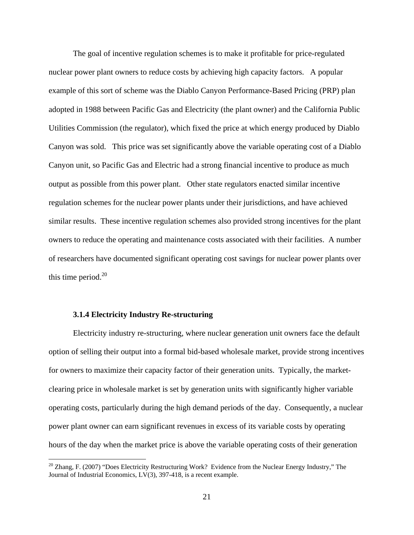The goal of incentive regulation schemes is to make it profitable for price-regulated nuclear power plant owners to reduce costs by achieving high capacity factors. A popular example of this sort of scheme was the Diablo Canyon Performance-Based Pricing (PRP) plan adopted in 1988 between Pacific Gas and Electricity (the plant owner) and the California Public Utilities Commission (the regulator), which fixed the price at which energy produced by Diablo Canyon was sold. This price was set significantly above the variable operating cost of a Diablo Canyon unit, so Pacific Gas and Electric had a strong financial incentive to produce as much output as possible from this power plant. Other state regulators enacted similar incentive regulation schemes for the nuclear power plants under their jurisdictions, and have achieved similar results. These incentive regulation schemes also provided strong incentives for the plant owners to reduce the operating and maintenance costs associated with their facilities. A number of researchers have documented significant operating cost savings for nuclear power plants over this time period. $20$ 

# **3.1.4 Electricity Industry Re-structuring**

 $\overline{a}$ 

Electricity industry re-structuring, where nuclear generation unit owners face the default option of selling their output into a formal bid-based wholesale market, provide strong incentives for owners to maximize their capacity factor of their generation units. Typically, the marketclearing price in wholesale market is set by generation units with significantly higher variable operating costs, particularly during the high demand periods of the day. Consequently, a nuclear power plant owner can earn significant revenues in excess of its variable costs by operating hours of the day when the market price is above the variable operating costs of their generation

<sup>&</sup>lt;sup>20</sup> Zhang, F. (2007) "Does Electricity Restructuring Work? Evidence from the Nuclear Energy Industry," The Journal of Industrial Economics, LV(3), 397-418, is a recent example.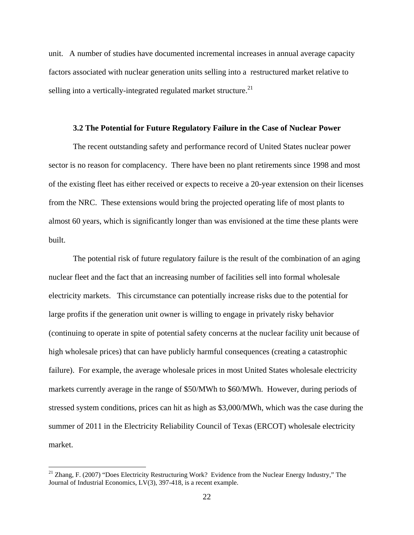unit. A number of studies have documented incremental increases in annual average capacity factors associated with nuclear generation units selling into a restructured market relative to selling into a vertically-integrated regulated market structure.<sup>21</sup>

## **3.2 The Potential for Future Regulatory Failure in the Case of Nuclear Power**

The recent outstanding safety and performance record of United States nuclear power sector is no reason for complacency. There have been no plant retirements since 1998 and most of the existing fleet has either received or expects to receive a 20-year extension on their licenses from the NRC. These extensions would bring the projected operating life of most plants to almost 60 years, which is significantly longer than was envisioned at the time these plants were built.

The potential risk of future regulatory failure is the result of the combination of an aging nuclear fleet and the fact that an increasing number of facilities sell into formal wholesale electricity markets. This circumstance can potentially increase risks due to the potential for large profits if the generation unit owner is willing to engage in privately risky behavior (continuing to operate in spite of potential safety concerns at the nuclear facility unit because of high wholesale prices) that can have publicly harmful consequences (creating a catastrophic failure). For example, the average wholesale prices in most United States wholesale electricity markets currently average in the range of \$50/MWh to \$60/MWh. However, during periods of stressed system conditions, prices can hit as high as \$3,000/MWh, which was the case during the summer of 2011 in the Electricity Reliability Council of Texas (ERCOT) wholesale electricity market.

<sup>&</sup>lt;sup>21</sup> Zhang, F. (2007) "Does Electricity Restructuring Work? Evidence from the Nuclear Energy Industry," The Journal of Industrial Economics, LV(3), 397-418, is a recent example.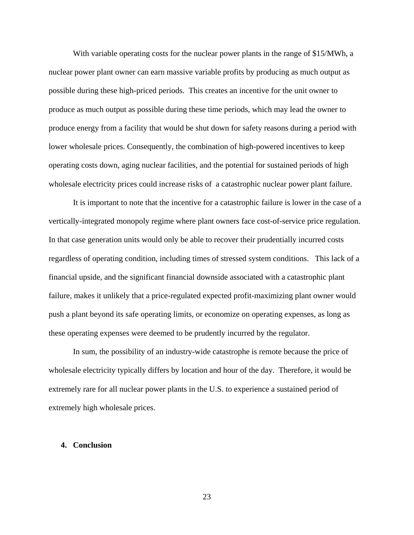With variable operating costs for the nuclear power plants in the range of \$15/MWh, a nuclear power plant owner can earn massive variable profits by producing as much output as possible during these high-priced periods. This creates an incentive for the unit owner to produce as much output as possible during these time periods, which may lead the owner to produce energy from a facility that would be shut down for safety reasons during a period with lower wholesale prices. Consequently, the combination of high-powered incentives to keep operating costs down, aging nuclear facilities, and the potential for sustained periods of high wholesale electricity prices could increase risks of a catastrophic nuclear power plant failure.

It is important to note that the incentive for a catastrophic failure is lower in the case of a vertically-integrated monopoly regime where plant owners face cost-of-service price regulation. In that case generation units would only be able to recover their prudentially incurred costs regardless of operating condition, including times of stressed system conditions. This lack of a financial upside, and the significant financial downside associated with a catastrophic plant failure, makes it unlikely that a price-regulated expected profit-maximizing plant owner would push a plant beyond its safe operating limits, or economize on operating expenses, as long as these operating expenses were deemed to be prudently incurred by the regulator.

In sum, the possibility of an industry-wide catastrophe is remote because the price of wholesale electricity typically differs by location and hour of the day. Therefore, it would be extremely rare for all nuclear power plants in the U.S. to experience a sustained period of extremely high wholesale prices.

# **4. Conclusion**